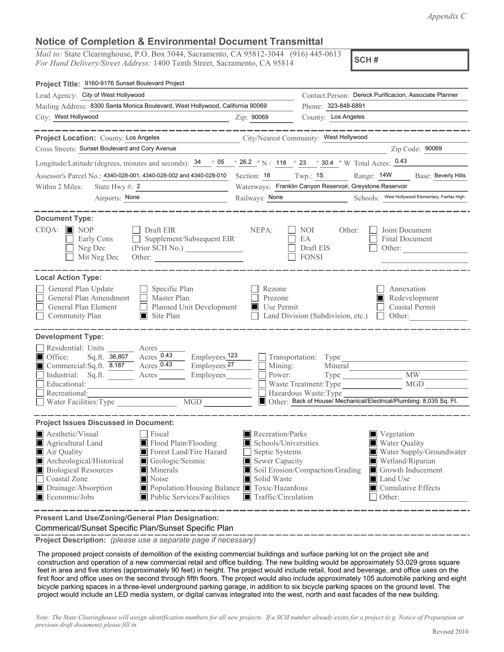*Appendix C*

## **Notice of Completion & Environmental Document Transmittal**

*Mail to:* State Clearinghouse, P.O. Box 3044, Sacramento, CA 95812-3044 (916) 445-0613 *For Hand Delivery/Street Address:* 1400 Tenth Street, Sacramento, CA 95814

**SCH #**

| Project Title: 9160-9176 Sunset Boulevard Project                                                                                                                                                                                                                                                                                                           |                                                                                                                                   |                                                                                           |                                                                                                                                                                           |  |  |  |  |  |
|-------------------------------------------------------------------------------------------------------------------------------------------------------------------------------------------------------------------------------------------------------------------------------------------------------------------------------------------------------------|-----------------------------------------------------------------------------------------------------------------------------------|-------------------------------------------------------------------------------------------|---------------------------------------------------------------------------------------------------------------------------------------------------------------------------|--|--|--|--|--|
| Lead Agency: City of West Hollywood                                                                                                                                                                                                                                                                                                                         | Contact Person: Dereck Purificacion, Associate Planner                                                                            |                                                                                           |                                                                                                                                                                           |  |  |  |  |  |
| Mailing Address: 8300 Santa Monica Boulevard, West Hollywood, California 90069                                                                                                                                                                                                                                                                              |                                                                                                                                   | Phone: 323-848-6891                                                                       |                                                                                                                                                                           |  |  |  |  |  |
| City: West Hollywood                                                                                                                                                                                                                                                                                                                                        | Zip: 90069                                                                                                                        | County: Los Angeles                                                                       |                                                                                                                                                                           |  |  |  |  |  |
| _______                                                                                                                                                                                                                                                                                                                                                     |                                                                                                                                   |                                                                                           |                                                                                                                                                                           |  |  |  |  |  |
| City/Nearest Community: West Hollywood<br>Project Location: County: Los Angeles                                                                                                                                                                                                                                                                             |                                                                                                                                   |                                                                                           |                                                                                                                                                                           |  |  |  |  |  |
| Cross Streets: Sunset Boulevard and Cory Avenue<br>Zip Code: 90069                                                                                                                                                                                                                                                                                          |                                                                                                                                   |                                                                                           |                                                                                                                                                                           |  |  |  |  |  |
| Longitude/Latitude (degrees, minutes and seconds): $\frac{34}{96}$ $\frac{05}{262}$ $\frac{\sqrt{26.2}}{N}$ / 118 $\degree$ 23 $\degree$ 30.4 $\degree$ W Total Acres: $\frac{0.43}{260}$                                                                                                                                                                   |                                                                                                                                   |                                                                                           |                                                                                                                                                                           |  |  |  |  |  |
| Assessor's Parcel No.: 4340-028-001, 4340-028-002 and 4340-028-010 Section: 18 Twp.: 1S                                                                                                                                                                                                                                                                     |                                                                                                                                   |                                                                                           | Range: 14W<br>Base: Beverly Hills                                                                                                                                         |  |  |  |  |  |
| State Hwy #: $2$<br>Within 2 Miles:                                                                                                                                                                                                                                                                                                                         | Waterways: Franklin Canyon Reservoir, Greystone Reservoir                                                                         |                                                                                           |                                                                                                                                                                           |  |  |  |  |  |
| Airports: None                                                                                                                                                                                                                                                                                                                                              | Railways: None                                                                                                                    |                                                                                           | Schools: West Hollywood Elementary, Fairfax High                                                                                                                          |  |  |  |  |  |
| <b>Document Type:</b><br>$CEQA: \blacksquare$ NOP<br>Draft EIR<br>Supplement/Subsequent EIR<br>Early Cons<br>Neg Dec<br>Mit Neg Dec                                                                                                                                                                                                                         | NEPA:                                                                                                                             | NOI<br>Other:<br>EA<br>Draft EIS<br><b>FONSI</b>                                          | Joint Document<br>Final Document<br>Other:                                                                                                                                |  |  |  |  |  |
| <b>Local Action Type:</b><br>General Plan Update<br>$\Box$ Specific Plan<br>General Plan Amendment<br>Master Plan<br>$\Box$<br>General Plan Element<br>Planned Unit Development<br>Community Plan<br>$\Box$ Site Plan                                                                                                                                       | Rezone<br>Prezone<br>Use Permit<br>Ш                                                                                              | Land Division (Subdivision, etc.)                                                         | Annexation<br>Redevelopment<br><b>Coastal Permit</b><br>$\Box$ Other:                                                                                                     |  |  |  |  |  |
| <b>Development Type:</b><br>Residential: Units<br>Acres<br>Acres $0.43$<br>Employees <sub>123</sub><br>Office:<br>Sq.ft. 36,807<br>Acres 0.43<br>Employees <sub>27</sub><br>Commercial:Sq.ft. 8,187<br>Industrial: Sq.ft.<br>Employees_<br>Acres<br>Educational:<br>Recreational:<br>$\overline{\text{MGD}}$<br>Water Facilities: Type                      | Mining:<br>Power:                                                                                                                 | Transportation: Type<br>Mineral<br>Type<br>Waste Treatment: Type<br>Hazardous Waste: Type | MW<br>MGD<br>Other: Back of House/ Mechanical/Electrical/Plumbing: 8,035 Sq. Ft.                                                                                          |  |  |  |  |  |
| <b>Project Issues Discussed in Document:</b>                                                                                                                                                                                                                                                                                                                |                                                                                                                                   |                                                                                           |                                                                                                                                                                           |  |  |  |  |  |
| Aesthetic/Visual<br>Fiscal<br>Flood Plain/Flooding<br>Agricultural Land<br>Air Quality<br>Forest Land/Fire Hazard<br>Geologic/Seismic<br>Archeological/Historical<br><b>Biological Resources</b><br>Minerals<br>Noise<br>Coastal Zone<br>Population/Housing Balance Toxic/Hazardous<br>Drainage/Absorption<br>■ Public Services/Facilities<br>Economic/Jobs | Recreation/Parks<br>Schools/Universities<br>Septic Systems<br>Sewer Capacity<br>Solid Waste<br>$\blacksquare$ Traffic/Circulation | Soil Erosion/Compaction/Grading                                                           | Vegetation<br>Water Quality<br>Water Supply/Groundwater<br>Wetland/Riparian<br>Growth Inducement<br><b>Land Use</b><br>$\blacksquare$ Cumulative Effects<br>$\Box$ Other: |  |  |  |  |  |

**Present Land Use/Zoning/General Plan Designation:**

Commerical/Sunset Specific Plan/Sunset Specific Plan

**Project Description:** *(please use a separate page if necessary)*

 The proposed project consists of demolition of the existing commercial buildings and surface parking lot on the project site and construction and operation of a new commercial retail and office building. The new building would be approximately 53,029 gross square feet in area and five stories (approximately 90 feet) in height. The project would include retail, food and beverage, and office uses on the first floor and office uses on the second through fifth floors. The project would also include approximately 105 automobile parking and eight bicycle parking spaces in a three-level underground parking garage, in addition to six bicycle parking spaces on the ground level. The project would include an LED media system, or digital canvas integrated into the west, north and east facades of the new building.

*Note: The State Clearinghouse will assign identification numbers for all new projects. If a SCH number already exists for a project (e.g. Notice of Preparation or previous draft document) please fill in.*